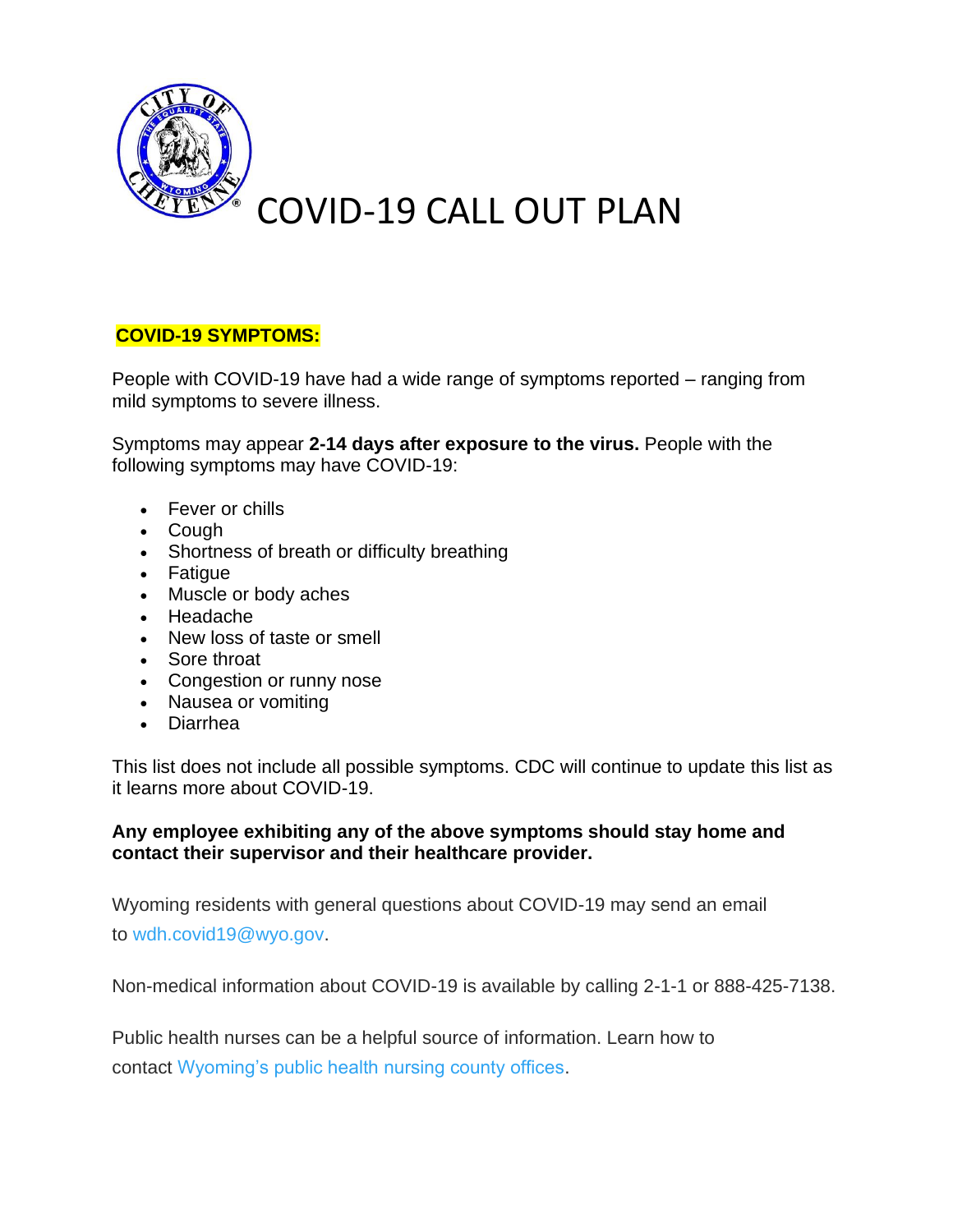

## **COVID-19 SYMPTOMS:**

People with COVID-19 have had a wide range of symptoms reported – ranging from mild symptoms to severe illness.

Symptoms may appear **2-14 days after exposure to the virus.** People with the following symptoms may have COVID-19:

- Fever or chills
- Cough
- Shortness of breath or difficulty breathing
- Fatigue
- Muscle or body aches
- Headache
- New loss of taste or smell
- Sore throat
- Congestion or runny nose
- Nausea or vomiting
- Diarrhea

This list does not include all possible symptoms. CDC will continue to update this list as it learns more about COVID-19.

## **Any employee exhibiting any of the above symptoms should stay home and contact their supervisor and their healthcare provider.**

Wyoming residents with general questions about COVID-19 may send an email to [wdh.covid19@wyo.gov.](mailto:wdh.covid19@wyo.gov)

Non-medical information about COVID-19 is available by calling 2-1-1 or 888-425-7138.

Public health nurses can be a helpful source of information. Learn how to contact [Wyoming's public health nursing county offices.](https://health.wyo.gov/publichealth/nursing/phn-co-offices/)